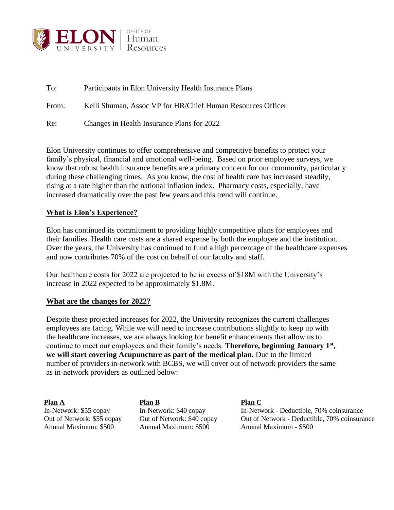

| To:   | Participants in Elon University Health Insurance Plans      |
|-------|-------------------------------------------------------------|
| From: | Kelli Shuman, Assoc VP for HR/Chief Human Resources Officer |
| Re:   | Changes in Health Insurance Plans for 2022                  |

Elon University continues to offer comprehensive and competitive benefits to protect your family's physical, financial and emotional well-being. Based on prior employee surveys, we know that robust health insurance benefits are a primary concern for our community, particularly during these challenging times. As you know, the cost of health care has increased steadily, rising at a rate higher than the national inflation index. Pharmacy costs, especially, have increased dramatically over the past few years and this trend will continue.

## **What is Elon's Experience?**

Elon has continued its commitment to providing highly competitive plans for employees and their families. Health care costs are a shared expense by both the employee and the institution. Over the years, the University has continued to fund a high percentage of the healthcare expenses and now contributes 70% of the cost on behalf of our faculty and staff.

Our healthcare costs for 2022 are projected to be in excess of \$18M with the University's increase in 2022 expected to be approximately \$1.8M.

## **What are the changes for 2022?**

Despite these projected increases for 2022, the University recognizes the current challenges employees are facing. While we will need to increase contributions slightly to keep up with the healthcare increases, we are always looking for benefit enhancements that allow us to continue to meet our employees and their family's needs. **Therefore, beginning January 1st , we will start covering Acupuncture as part of the medical plan.** Due to the limited number of providers in-network with BCBS, we will cover out of network providers the same as in-network providers as outlined below:

**Plan A Plan B Plan C** Annual Maximum: \$500 Annual Maximum: \$500 Annual Maximum - \$500

In-Network: \$55 copay In-Network: \$40 copay In-Network - Deductible, 70% coinsurance Out of Network: \$55 copay Out of Network: \$40 copay Out of Network - Deductible, 70% coinsurance